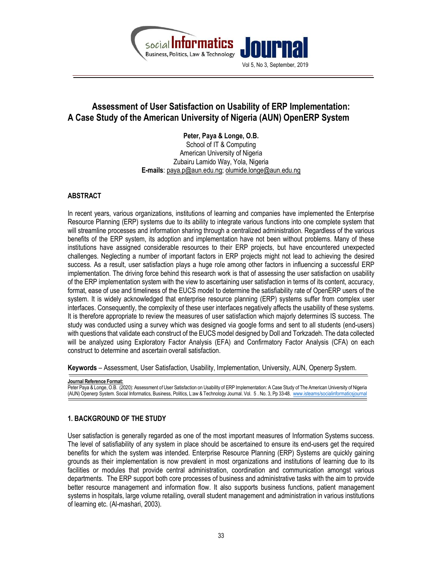

# Assessment of User Satisfaction on Usability of ERP Implementation: A Case Study of the American University of Nigeria (AUN) OpenERP System

Peter, Paya & Longe, O.B. School of IT & Computing American University of Nigeria Zubairu Lamido Way, Yola, Nigeria E-mails: paya.p@aun.edu.ng; olumide.longe@aun.edu.ng

# ABSTRACT

In recent years, various organizations, institutions of learning and companies have implemented the Enterprise Resource Planning (ERP) systems due to its ability to integrate various functions into one complete system that will streamline processes and information sharing through a centralized administration. Regardless of the various benefits of the ERP system, its adoption and implementation have not been without problems. Many of these institutions have assigned considerable resources to their ERP projects, but have encountered unexpected challenges. Neglecting a number of important factors in ERP projects might not lead to achieving the desired success. As a result, user satisfaction plays a huge role among other factors in influencing a successful ERP implementation. The driving force behind this research work is that of assessing the user satisfaction on usability of the ERP implementation system with the view to ascertaining user satisfaction in terms of its content, accuracy, format, ease of use and timeliness of the EUCS model to determine the satisfiability rate of OpenERP users of the system. It is widely acknowledged that enterprise resource planning (ERP) systems suffer from complex user interfaces. Consequently, the complexity of these user interfaces negatively affects the usability of these systems. It is therefore appropriate to review the measures of user satisfaction which majorly determines IS success. The study was conducted using a survey which was designed via google forms and sent to all students (end-users) with questions that validate each construct of the EUCS model designed by Doll and Torkzadeh. The data collected will be analyzed using Exploratory Factor Analysis (EFA) and Confirmatory Factor Analysis (CFA) on each construct to determine and ascertain overall satisfaction.

Keywords – Assessment, User Satisfaction, Usability, Implementation, University, AUN, Openerp System.

Journal Reference Format: Peter Paya & Longe, O.B. (2020): Assessment of User Satisfaction on Usability of ERP Implementation: A Case Study of The American University of Nigeria (AUN) Openerp System. Social Informatics, Business, Politics, L:aw & Technology Journal. Vol. 5 . No. 3, Pp 33-48. www.isteams/socialinformaticsjournal

# 1. BACKGROUND OF THE STUDY

User satisfaction is generally regarded as one of the most important measures of Information Systems success. The level of satisfiability of any system in place should be ascertained to ensure its end-users get the required benefits for which the system was intended. Enterprise Resource Planning (ERP) Systems are quickly gaining grounds as their implementation is now prevalent in most organizations and institutions of learning due to its facilities or modules that provide central administration, coordination and communication amongst various departments. The ERP support both core processes of business and administrative tasks with the aim to provide better resource management and information flow. It also supports business functions, patient management systems in hospitals, large volume retailing, overall student management and administration in various institutions of learning etc. (Al-mashari, 2003).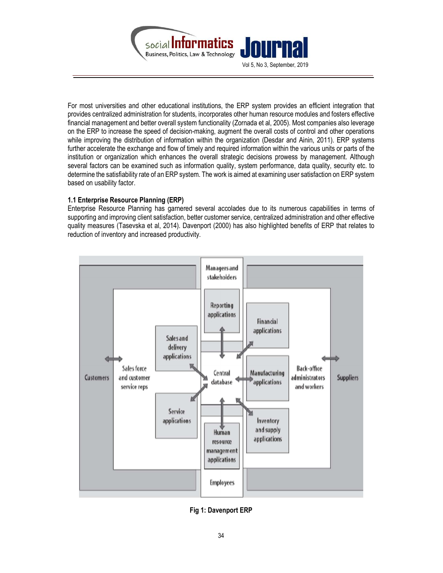

For most universities and other educational institutions, the ERP system provides an efficient integration that provides centralized administration for students, incorporates other human resource modules and fosters effective financial management and better overall system functionality (Zornada et al, 2005). Most companies also leverage on the ERP to increase the speed of decision-making, augment the overall costs of control and other operations while improving the distribution of information within the organization (Desdar and Ainin, 2011). ERP systems further accelerate the exchange and flow of timely and required information within the various units or parts of the institution or organization which enhances the overall strategic decisions prowess by management. Although several factors can be examined such as information quality, system performance, data quality, security etc. to determine the satisfiability rate of an ERP system. The work is aimed at examining user satisfaction on ERP system based on usability factor.

# 1.1 Enterprise Resource Planning (ERP)

Enterprise Resource Planning has garnered several accolades due to its numerous capabilities in terms of supporting and improving client satisfaction, better customer service, centralized administration and other effective quality measures (Tasevska et al, 2014). Davenport (2000) has also highlighted benefits of ERP that relates to reduction of inventory and increased productivity.



Fig 1: Davenport ERP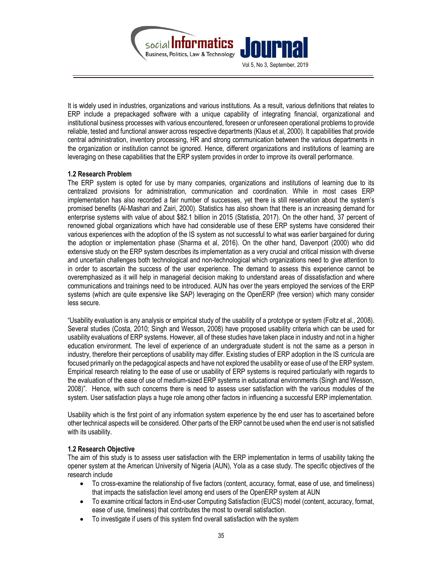

It is widely used in industries, organizations and various institutions. As a result, various definitions that relates to ERP include a prepackaged software with a unique capability of integrating financial, organizational and institutional business processes with various encountered, foreseen or unforeseen operational problems to provide reliable, tested and functional answer across respective departments (Klaus et al, 2000). It capabilities that provide central administration, inventory processing, HR and strong communication between the various departments in the organization or institution cannot be ignored. Hence, different organizations and institutions of learning are leveraging on these capabilities that the ERP system provides in order to improve its overall performance.

#### 1.2 Research Problem

The ERP system is opted for use by many companies, organizations and institutions of learning due to its centralized provisions for administration, communication and coordination. While in most cases ERP implementation has also recorded a fair number of successes, yet there is still reservation about the system's promised benefits (Al-Mashari and Zairi, 2000). Statistics has also shown that there is an increasing demand for enterprise systems with value of about \$82.1 billion in 2015 (Statistia, 2017). On the other hand, 37 percent of renowned global organizations which have had considerable use of these ERP systems have considered their various experiences with the adoption of the IS system as not successful to what was earlier bargained for during the adoption or implementation phase (Sharma et al, 2016). On the other hand, Davenport (2000) who did extensive study on the ERP system describes its implementation as a very crucial and critical mission with diverse and uncertain challenges both technological and non-technological which organizations need to give attention to in order to ascertain the success of the user experience. The demand to assess this experience cannot be overemphasized as it will help in managerial decision making to understand areas of dissatisfaction and where communications and trainings need to be introduced. AUN has over the years employed the services of the ERP systems (which are quite expensive like SAP) leveraging on the OpenERP (free version) which many consider less secure.

"Usability evaluation is any analysis or empirical study of the usability of a prototype or system (Foltz et al., 2008). Several studies (Costa, 2010; Singh and Wesson, 2008) have proposed usability criteria which can be used for usability evaluations of ERP systems. However, all of these studies have taken place in industry and not in a higher education environment. The level of experience of an undergraduate student is not the same as a person in industry, therefore their perceptions of usability may differ. Existing studies of ERP adoption in the IS curricula are focused primarily on the pedagogical aspects and have not explored the usability or ease of use of the ERP system. Empirical research relating to the ease of use or usability of ERP systems is required particularly with regards to the evaluation of the ease of use of medium-sized ERP systems in educational environments (Singh and Wesson, 2008)". Hence, with such concerns there is need to assess user satisfaction with the various modules of the system. User satisfaction plays a huge role among other factors in influencing a successful ERP implementation.

Usability which is the first point of any information system experience by the end user has to ascertained before other technical aspects will be considered. Other parts of the ERP cannot be used when the end user is not satisfied with its usability.

#### 1.2 Research Objective

The aim of this study is to assess user satisfaction with the ERP implementation in terms of usability taking the opener system at the American University of Nigeria (AUN), Yola as a case study. The specific objectives of the research include

- To cross-examine the relationship of five factors (content, accuracy, format, ease of use, and timeliness) that impacts the satisfaction level among end users of the OpenERP system at AUN
- To examine critical factors in End-user Computing Satisfaction (EUCS) model (content, accuracy, format, ease of use, timeliness) that contributes the most to overall satisfaction.
- To investigate if users of this system find overall satisfaction with the system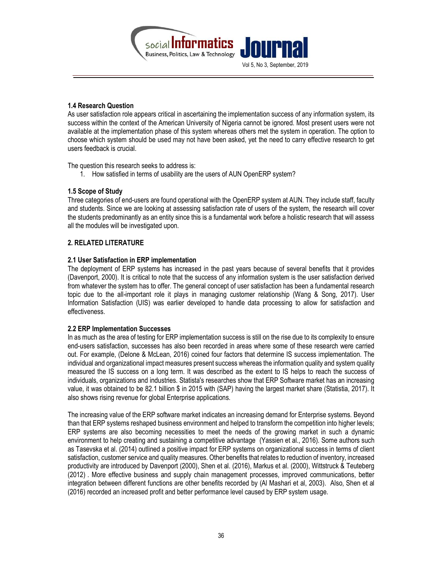

#### 1.4 Research Question

As user satisfaction role appears critical in ascertaining the implementation success of any information system, its success within the context of the American University of Nigeria cannot be ignored. Most present users were not available at the implementation phase of this system whereas others met the system in operation. The option to choose which system should be used may not have been asked, yet the need to carry effective research to get users feedback is crucial.

The question this research seeks to address is:

1. How satisfied in terms of usability are the users of AUN OpenERP system?

#### 1.5 Scope of Study

Three categories of end-users are found operational with the OpenERP system at AUN. They include staff, faculty and students. Since we are looking at assessing satisfaction rate of users of the system, the research will cover the students predominantly as an entity since this is a fundamental work before a holistic research that will assess all the modules will be investigated upon.

### 2. RELATED LITERATURE

### 2.1 User Satisfaction in ERP implementation

The deployment of ERP systems has increased in the past years because of several benefits that it provides (Davenport, 2000). It is critical to note that the success of any information system is the user satisfaction derived from whatever the system has to offer. The general concept of user satisfaction has been a fundamental research topic due to the all-important role it plays in managing customer relationship (Wang & Song, 2017). User Information Satisfaction (UIS) was earlier developed to handle data processing to allow for satisfaction and effectiveness.

#### 2.2 ERP Implementation Successes

In as much as the area of testing for ERP implementation success is still on the rise due to its complexity to ensure end-users satisfaction, successes has also been recorded in areas where some of these research were carried out. For example, (Delone & McLean, 2016) coined four factors that determine IS success implementation. The individual and organizational impact measures present success whereas the information quality and system quality measured the IS success on a long term. It was described as the extent to IS helps to reach the success of individuals, organizations and industries. Statista's researches show that ERP Software market has an increasing value, it was obtained to be 82.1 billion \$ in 2015 with (SAP) having the largest market share (Statistia, 2017). It also shows rising revenue for global Enterprise applications.

The increasing value of the ERP software market indicates an increasing demand for Enterprise systems. Beyond than that ERP systems reshaped business environment and helped to transform the competition into higher levels; ERP systems are also becoming necessities to meet the needs of the growing market in such a dynamic environment to help creating and sustaining a competitive advantage (Yassien et al., 2016). Some authors such as Tasevska et al. (2014) outlined a positive impact for ERP systems on organizational success in terms of client satisfaction, customer service and quality measures. Other benefits that relates to reduction of inventory, increased productivity are introduced by Davenport (2000), Shen et al. (2016), Markus et al. (2000), Wittstruck & Teuteberg (2012) . More effective business and supply chain management processes, improved communications, better integration between different functions are other benefits recorded by (Al Mashari et al, 2003). "Also, Shen et al (2016) recorded an increased profit and better performance level caused by ERP system usage.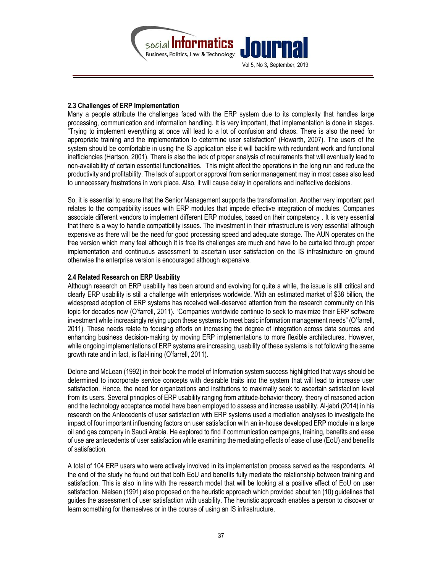

### 2.3 Challenges of ERP Implementation

Many a people attribute the challenges faced with the ERP system due to its complexity that handles large processing, communication and information handling. It is very important, that implementation is done in stages. "Trying to implement everything at once will lead to a lot of confusion and chaos. There is also the need for appropriate training and the implementation to determine user satisfaction" (Howarth, 2007). The users of the system should be comfortable in using the IS application else it will backfire with redundant work and functional inefficiencies (Hartson, 2001). There is also the lack of proper analysis of requirements that will eventually lead to non-availability of certain essential functionalities. "This might affect the operations in the long run and reduce the productivity and profitability. The lack of support or approval from senior management may in most cases also lead to unnecessary frustrations in work place. Also, it will cause delay in operations and ineffective decisions.

So, it is essential to ensure that the Senior Management supports the transformation. Another very important part relates to the compatibility issues with ERP modules that impede effective integration of modules. Companies associate different vendors to implement different ERP modules, based on their competency. It is very essential that there is a way to handle compatibility issues. The investment in their infrastructure is very essential although expensive as there will be the need for good processing speed and adequate storage. The AUN operates on the free version which many feel although it is free its challenges are much and have to be curtailed through proper implementation and continuous assessment to ascertain user satisfaction on the IS infrastructure on ground otherwise the enterprise version is encouraged although expensive.

#### 2.4 Related Research on ERP Usability

Although research on ERP usability has been around and evolving for quite a while, the issue is still critical and clearly ERP usability is still a challenge with enterprises worldwide. With an estimated market of \$38 billion, the widespread adoption of ERP systems has received well-deserved attention from the research community on this topic for decades now (O'farrell, 2011). "Companies worldwide continue to seek to maximize their ERP software investment while increasingly relying upon these systems to meet basic information management needs" (O'farrell, 2011). These needs relate to focusing efforts on increasing the degree of integration across data sources, and enhancing business decision-making by moving ERP implementations to more flexible architectures. However, while ongoing implementations of ERP systems are increasing, usability of these systems is not following the same growth rate and in fact, is flat-lining (O'farrell, 2011).

Delone and McLean (1992) in their book the model of Information system success highlighted that ways should be determined to incorporate service concepts with desirable traits into the system that will lead to increase user satisfaction. Hence, the need for organizations and institutions to maximally seek to ascertain satisfaction level from its users. Several principles of ERP usability ranging from attitude-behavior theory, theory of reasoned action and the technology acceptance model have been employed to assess and increase usability. Al-jabri (2014) in his research on the Antecedents of user satisfaction with ERP systems used a mediation analyses to investigate the impact of four important influencing factors on user satisfaction with an in-house developed ERP module in a large oil and gas company in Saudi Arabia. He explored to find if communication campaigns, training, benefits and ease of use are antecedents of user satisfaction while examining the mediating effects of ease of use (EoU) and benefits of satisfaction.

A total of 104 ERP users who were actively involved in its implementation process served as the respondents. At the end of the study he found out that both EoU and benefits fully mediate the relationship between training and satisfaction. This is also in line with the research model that will be looking at a positive effect of EoU on user satisfaction. Nielsen (1991) also proposed on the heuristic approach which provided about ten (10) guidelines that guides the assessment of user satisfaction with usability. The heuristic approach enables a person to discover or learn something for themselves or in the course of using an IS infrastructure.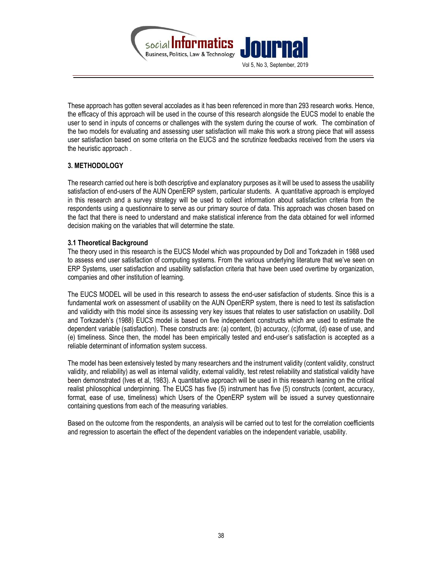

These approach has gotten several accolades as it has been referenced in more than 293 research works. Hence, the efficacy of this approach will be used in the course of this research alongside the EUCS model to enable the user to send in inputs of concerns or challenges with the system during the course of work. "The combination of the two models for evaluating and assessing user satisfaction will make this work a strong piece that will assess user satisfaction based on some criteria on the EUCS and the scrutinize feedbacks received from the users via the heuristic approach.

# 3. METHODOLOGY

The research carried out here is both descriptive and explanatory purposes as it will be used to assess the usability satisfaction of end-users of the AUN OpenERP system, particular students. A quantitative approach is employed in this research and a survey strategy will be used to collect information about satisfaction criteria from the respondents using a questionnaire to serve as our primary source of data. This approach was chosen based on the fact that there is need to understand and make statistical inference from the data obtained for well informed decision making on the variables that will determine the state.

# 3.1 Theoretical Background

The theory used in this research is the EUCS Model which was propounded by Doll and Torkzadeh in 1988 used to assess end user satisfaction of computing systems. From the various underlying literature that we've seen on ERP Systems, user satisfaction and usability satisfaction criteria that have been used overtime by organization, companies and other institution of learning.

The EUCS MODEL will be used in this research to assess the end-user satisfaction of students. Since this is a fundamental work on assessment of usability on the AUN OpenERP system, there is need to test its satisfaction and valididty with this model since its assessing very key issues that relates to user satisfaction on usability. Doll and Torkzadeh's (1988) EUCS model is based on five independent constructs which are used to estimate the dependent variable (satisfaction). These constructs are: (a) content, (b) accuracy, (c)format, (d) ease of use, and (e) timeliness. Since then, the model has been empirically tested and end-user's satisfaction is accepted as a reliable determinant of information system success.

The model has been extensively tested by many researchers and the instrument validity (content validity, construct validity, and reliability) as well as internal validity, external validity, test retest reliability and statistical validity have been demonstrated (Ives et al, 1983). A quantitative approach will be used in this research leaning on the critical realist philosophical underpinning. The EUCS has five (5) instrument has five (5) constructs (content, accuracy, format, ease of use, timeliness) which Users of the OpenERP system will be issued a survey questionnaire containing questions from each of the measuring variables.

Based on the outcome from the respondents, an analysis will be carried out to test for the correlation coefficients and regression to ascertain the effect of the dependent variables on the independent variable, usability.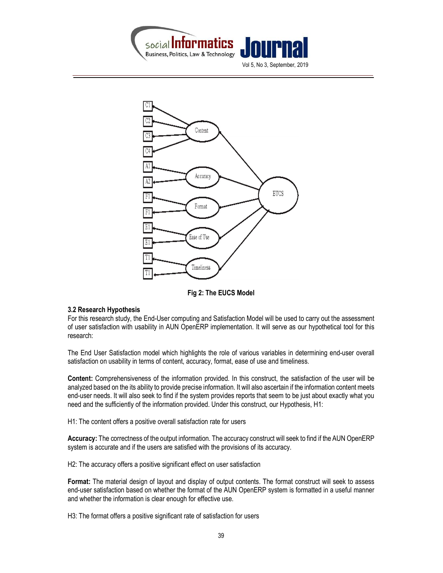



#### Fig 2: The EUCS Model

#### 3.2 Research Hypothesis

For this research study, the End-User computing and Satisfaction Model will be used to carry out the assessment of user satisfaction with usability in AUN OpenERP implementation. It will serve as our hypothetical tool for this research:

The End User Satisfaction model which highlights the role of various variables in determining end-user overall satisfaction on usability in terms of content, accuracy, format, ease of use and timeliness.

Content: Comprehensiveness of the information provided. In this construct, the satisfaction of the user will be analyzed based on the its ability to provide precise information. It will also ascertain if the information content meets end-user needs. It will also seek to find if the system provides reports that seem to be just about exactly what you need and the sufficiently of the information provided. Under this construct, our Hypothesis, H1:

H1: The content offers a positive overall satisfaction rate for users

Accuracy: The correctness of the output information. The accuracy construct will seek to find if the AUN OpenERP system is accurate and if the users are satisfied with the provisions of its accuracy.

H2: The accuracy offers a positive significant effect on user satisfaction

Format: The material design of layout and display of output contents. The format construct will seek to assess end-user satisfaction based on whether the format of the AUN OpenERP system is formatted in a useful manner and whether the information is clear enough for effective use.

H3: The format offers a positive significant rate of satisfaction for users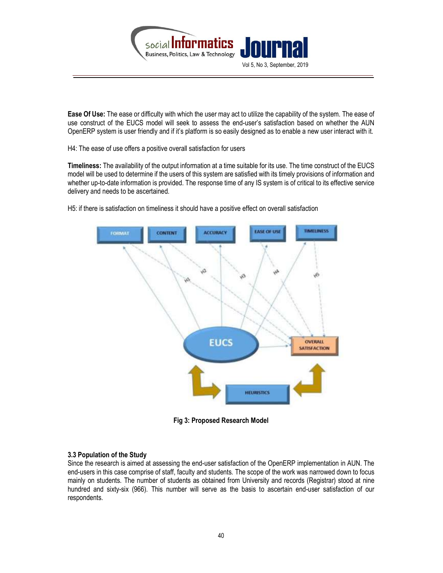

Ease Of Use: The ease or difficulty with which the user may act to utilize the capability of the system. The ease of use construct of the EUCS model will seek to assess the end-user's satisfaction based on whether the AUN OpenERP system is user friendly and if it's platform is so easily designed as to enable a new user interact with it.

H4: The ease of use offers a positive overall satisfaction for users

Timeliness: The availability of the output information at a time suitable for its use. The time construct of the EUCS model will be used to determine if the users of this system are satisfied with its timely provisions of information and whether up-to-date information is provided. The response time of any IS system is of critical to its effective service delivery and needs to be ascertained.

H5: if there is satisfaction on timeliness it should have a positive effect on overall satisfaction



Fig 3: Proposed Research Model

#### 3.3 Population of the Study

Since the research is aimed at assessing the end-user satisfaction of the OpenERP implementation in AUN. The end-users in this case comprise of staff, faculty and students. The scope of the work was narrowed down to focus mainly on students. The number of students as obtained from University and records (Registrar) stood at nine hundred and sixty-six (966). This number will serve as the basis to ascertain end-user satisfaction of our respondents.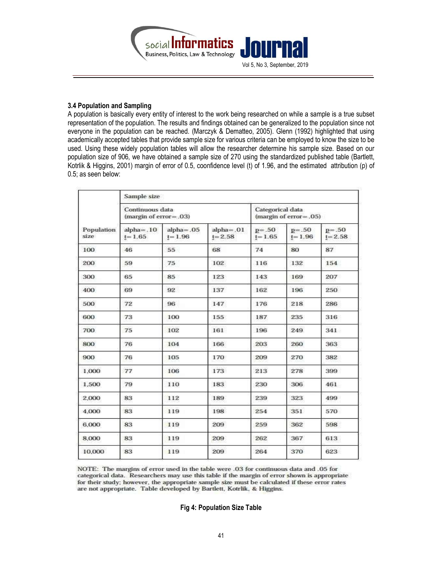

#### 3.4 Population and Sampling

A population is basically every entity of interest to the work being researched on while a sample is a true subset representation of the population. The results and findings obtained can be generalized to the population since not everyone in the population can be reached. (Marczyk & Dematteo, 2005). Glenn (1992) highlighted that using academically accepted tables that provide sample size for various criteria can be employed to know the size to be used. Using these widely population tables will allow the researcher determine his sample size. Based on our population size of 906, we have obtained a sample size of 270 using the standardized published table (Bartlett, Kotrlik & Higgins, 2001) margin of error of 0.5, coonfidence level (t) of 1.96, and the estimated attribution (p) of 0.5; as seen below:

| Population<br>size | Sample size                                  |                             |                                               |                         |                         |                         |  |  |
|--------------------|----------------------------------------------|-----------------------------|-----------------------------------------------|-------------------------|-------------------------|-------------------------|--|--|
|                    | Continuous data<br>$(margin of error = .03)$ |                             | Categorical data<br>$(margin of error = .05)$ |                         |                         |                         |  |  |
|                    | $alpha=.10$<br>$t = 1.65$                    | $alpha = .05$<br>$t = 1.96$ | $alpha = .01$<br>$t = 2.58$                   | $p = .50$<br>$t = 1.65$ | $p = .50$<br>$t = 1.96$ | $p = .50$<br>$t = 2.58$ |  |  |
| 100                | 46                                           | 55                          | 68                                            | 74                      | 80                      | 87                      |  |  |
| 200                | 59                                           | 75                          | 102                                           | 116                     | 132                     | 154                     |  |  |
| 300                | 65                                           | 85                          | 123                                           | 143                     | 169                     | 207                     |  |  |
| 400                | 69                                           | 92                          | 137                                           | 162                     | 196                     | 250                     |  |  |
| 500                | 72                                           | 96                          | 147                                           | 176                     | 218                     | 286                     |  |  |
| 600                | 73                                           | 100                         | 155                                           | 187                     | 235                     | 316                     |  |  |
| 700                | 75                                           | 102                         | 161                                           | 196                     | 249                     | 341                     |  |  |
| 800                | 76                                           | 104                         | 166                                           | 203                     | 260                     | 363                     |  |  |
| 900                | 76                                           | 105                         | 170                                           | 209                     | 270                     | 382                     |  |  |
| 1.000              | 77                                           | 106                         | 173                                           | 213                     | 278                     | 399                     |  |  |
| 1.500              | 79                                           | 110                         | 183                                           | 230                     | 306                     | 461                     |  |  |
| 2.000              | 83                                           | 112                         | 189                                           | 239                     | 323                     | 499                     |  |  |
| 4.000              | 83                                           | 119                         | 198                                           | 254                     | 351                     | 570                     |  |  |
| 6,000              | 83                                           | 119                         | 209                                           | 259                     | 362                     | 598                     |  |  |
| 8,000              | 83                                           | 119                         | 209                                           | 262                     | 367                     | 613                     |  |  |
| 10.000             | 83                                           | 119                         | 209                                           | 264                     | 370                     | 623                     |  |  |

NOTE: The margins of error used in the table were .03 for continuous data and .05 for categorical data. Researchers may use this table if the margin of error shown is appropriate for their study; however, the appropriate sample size must be calculated if these error rates are not appropriate. Table developed by Bartlett, Kotrlik, & Higgins.

#### Fig 4: Population Size Table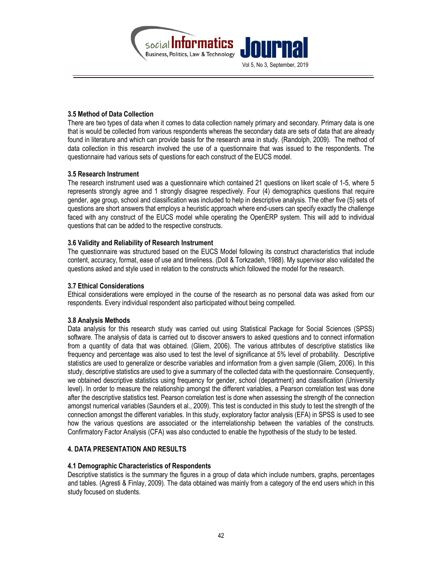

### 3.5 Method of Data Collection

There are two types of data when it comes to data collection namely primary and secondary. Primary data is one that is would be collected from various respondents whereas the secondary data are sets of data that are already found in literature and which can provide basis for the research area in study. (Randolph, 2009). The method of data collection in this research involved the use of a questionnaire that was issued to the respondents. The questionnaire had various sets of questions for each construct of the EUCS model.

#### 3.5 Research Instrument

The research instrument used was a questionnaire which contained 21 questions on likert scale of 1-5, where 5 represents strongly agree and 1 strongly disagree respectively. Four (4) demographics questions that require gender, age group, school and classification was included to help in descriptive analysis. The other five (5) sets of questions are short answers that employs a heuristic approach where end-users can specify exactly the challenge faced with any construct of the EUCS model while operating the OpenERP system. This will add to individual questions that can be added to the respective constructs.

### 3.6 Validity and Reliability of Research Instrument

The questionnaire was structured based on the EUCS Model following its construct characteristics that include content, accuracy, format, ease of use and timeliness. (Doll & Torkzadeh, 1988). My supervisor also validated the questions asked and style used in relation to the constructs which followed the model for the research.

#### 3.7 Ethical Considerations

Ethical considerations were employed in the course of the research as no personal data was asked from our respondents. Every individual respondent also participated without being compelled.

#### 3.8 Analysis Methods

Data analysis for this research study was carried out using Statistical Package for Social Sciences (SPSS) software. The analysis of data is carried out to discover answers to asked questions and to connect information from a quantity of data that was obtained. (Gliem, 2006). The various attributes of descriptive statistics like frequency and percentage was also used to test the level of significance at 5% level of probability. Descriptive statistics are used to generalize or describe variables and information from a given sample (Gliem, 2006). In this study, descriptive statistics are used to give a summary of the collected data with the questionnaire. Consequently, we obtained descriptive statistics using frequency for gender, school (department) and classification (University level). In order to measure the relationship amongst the different variables, a Pearson correlation test was done after the descriptive statistics test. Pearson correlation test is done when assessing the strength of the connection amongst numerical variables (Saunders et al., 2009). This test is conducted in this study to test the strength of the connection amongst the different variables. In this study, exploratory factor analysis (EFA) in SPSS is used to see how the various questions are associated or the interrelationship between the variables of the constructs. Confirmatory Factor Analysis (CFA) was also conducted to enable the hypothesis of the study to be tested.

#### 4. DATA PRESENTATION AND RESULTS

#### 4.1 Demographic Characteristics of Respondents

Descriptive statistics is the summary the figures in a group of data which include numbers, graphs, percentages and tables. (Agresti & Finlay, 2009). The data obtained was mainly from a category of the end users which in this study focused on students.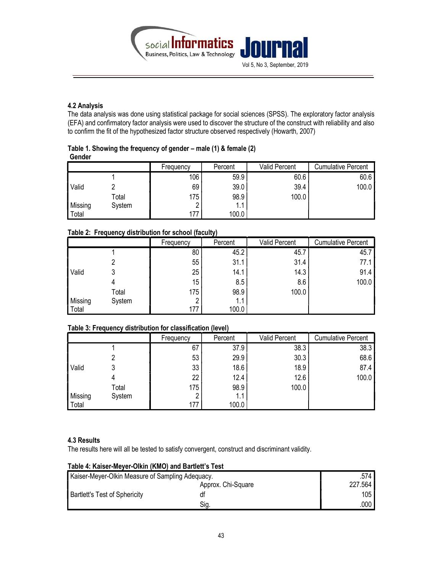

# 4.2 Analysis

The data analysis was done using statistical package for social sciences (SPSS). The exploratory factor analysis (EFA) and confirmatory factor analysis were used to discover the structure of the construct with reliability and also to confirm the fit of the hypothesized factor structure observed respectively (Howarth, 2007)

| Table 1. Showing the frequency of gender – male (1) & female (2) |  |
|------------------------------------------------------------------|--|
| Gender                                                           |  |

|                |        | Frequency | Percent | Valid Percent | <b>Cumulative Percent</b> |
|----------------|--------|-----------|---------|---------------|---------------------------|
|                |        | 106       | 59.9    | 60.6          | 60.6                      |
| Valid          |        | 69        | 39.0    | 39.4          | 100.0                     |
|                | Total  | 175       | 98.9    | 100.0         |                           |
| <b>Missing</b> | System |           | 1.1     |               |                           |
| Total          |        | 177       | 100.0   |               |                           |

# Table 2: Frequency distribution for school (faculty)

|         |        | Frequency | Percent | Valid Percent | <b>Cumulative Percent</b> |
|---------|--------|-----------|---------|---------------|---------------------------|
|         |        | 80        | 45.2    | 45.7          | 45.7                      |
|         |        | 55        | 31.1    | 31.4          | 77.1                      |
| Valid   |        | 25        | 14.1    | 14.3          | 91.4                      |
|         |        | 15        | 8.5     | 8.6           | 100.0                     |
|         | Total  | 175       | 98.9    | 100.0         |                           |
| Missing | System | n         | 1.1     |               |                           |
| Total   |        | 177       | 100.0   |               |                           |

### Table 3: Frequency distribution for classification (level)

|         |        | Frequency | Percent | <b>Valid Percent</b> | <b>Cumulative Percent</b> |
|---------|--------|-----------|---------|----------------------|---------------------------|
|         |        | 67        | 37.9    | 38.3                 | 38.3                      |
|         |        | 53        | 29.9    | 30.3                 | 68.6                      |
| Valid   |        | 33        | 18.6    | 18.9                 | 87.4                      |
|         |        | 22        | 12.4    | 12.6                 | 100.0                     |
|         | Total  | 175       | 98.9    | 100.0                |                           |
| Missing | System |           | 1.1     |                      |                           |
| Total   |        | 177       | 100.0   |                      |                           |

#### 4.3 Results

The results here will all be tested to satisfy convergent, construct and discriminant validity.

# Table 4: Kaiser-Meyer-Olkin (KMO) and Bartlett's Test

| Kaiser-Meyer-Olkin Measure of Sampling Adequacy. | .574    |      |
|--------------------------------------------------|---------|------|
|                                                  | 227.564 |      |
| <b>Bartlett's Test of Sphericity</b>             |         | 105  |
|                                                  | Siq.    | .000 |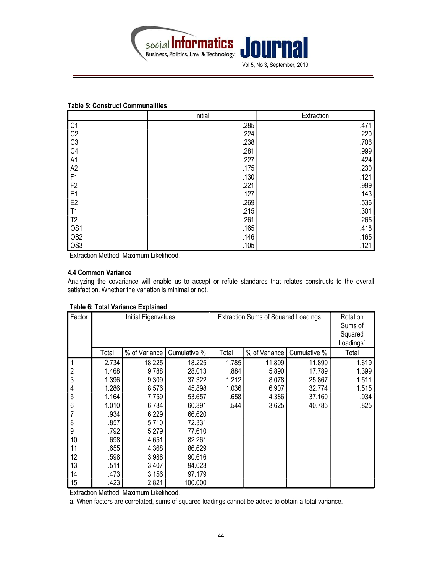

#### Table 5: Construct Communalities

|                 | Initial | Extraction |
|-----------------|---------|------------|
| C <sub>1</sub>  | .285    | .471       |
| C <sub>2</sub>  | .224    | .220       |
| C <sub>3</sub>  | .238    | .706       |
| C <sub>4</sub>  | .281    | .999       |
| A <sub>1</sub>  | .227    | .424       |
| A2              | .175    | .230       |
| F1              | .130    | .121       |
| F <sub>2</sub>  | .221    | .999       |
| E <sub>1</sub>  | .127    | .143       |
| E <sub>2</sub>  | .269    | .536       |
| T <sub>1</sub>  | .215    | .301       |
| T <sub>2</sub>  | .261    | .265       |
| OS <sub>1</sub> | .165    | .418       |
| OS <sub>2</sub> | .146    | .165       |
| OS <sub>3</sub> | .105    | .121       |

Extraction Method: Maximum Likelihood.

#### 4.4 Common Variance

Analyzing the covariance will enable us to accept or refute standards that relates constructs to the overall satisfaction. Whether the variation is minimal or not.

| Factor                  | Initial Eigenvalues |               |              | <b>Extraction Sums of Squared Loadings</b> |               |              | Rotation<br>Sums of<br>Squared<br>Loadings <sup>a</sup> |
|-------------------------|---------------------|---------------|--------------|--------------------------------------------|---------------|--------------|---------------------------------------------------------|
|                         | Total               | % of Variance | Cumulative % | Total                                      | % of Variance | Cumulative % | Total                                                   |
| 1                       | 2.734               | 18.225        | 18.225       | 1.785                                      | 11.899        | 11.899       | 1.619                                                   |
| $\overline{\mathbf{c}}$ | 1.468               | 9.788         | 28.013       | .884                                       | 5.890         | 17.789       | 1.399                                                   |
| $\overline{3}$          | 1.396               | 9.309         | 37.322       | 1.212                                      | 8.078         | 25.867       | 1.511                                                   |
| $\overline{\mathbf{4}}$ | 1.286               | 8.576         | 45.898       | 1.036                                      | 6.907         | 32.774       | 1.515                                                   |
| 5                       | 1.164               | 7.759         | 53.657       | .658                                       | 4.386         | 37.160       | .934                                                    |
| 6                       | 1.010               | 6.734         | 60.391       | .544                                       | 3.625         | 40.785       | .825                                                    |
| $\overline{7}$          | .934                | 6.229         | 66.620       |                                            |               |              |                                                         |
| $\bf 8$                 | .857                | 5.710         | 72.331       |                                            |               |              |                                                         |
| 9                       | .792                | 5.279         | 77.610       |                                            |               |              |                                                         |
| 10                      | .698                | 4.651         | 82.261       |                                            |               |              |                                                         |
| 11                      | .655                | 4.368         | 86.629       |                                            |               |              |                                                         |
| 12                      | .598                | 3.988         | 90.616       |                                            |               |              |                                                         |
| 13                      | .511                | 3.407         | 94.023       |                                            |               |              |                                                         |
| 14                      | .473                | 3.156         | 97.179       |                                            |               |              |                                                         |
| 15                      | .423                | 2.821         | 100.000      |                                            |               |              |                                                         |

#### Table 6: Total Variance Explained

Extraction Method: Maximum Likelihood.

a. When factors are correlated, sums of squared loadings cannot be added to obtain a total variance.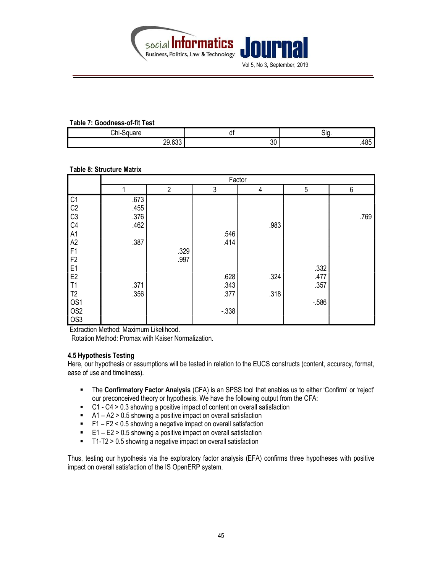

#### Table 7: Goodness-of-fit Test

| Chi-Square       | uı                 | -SIQ.         |  |  |  |  |  |  |
|------------------|--------------------|---------------|--|--|--|--|--|--|
| ככם חר<br>ZJ.UJJ | $\mathbf{A}$<br>งบ | $\sim$<br>400 |  |  |  |  |  |  |

### Table 8: Structure Matrix

|                                  |      | Factor         |          |      |        |      |  |  |  |
|----------------------------------|------|----------------|----------|------|--------|------|--|--|--|
|                                  |      | $\overline{2}$ | 3        | 4    | 5      | 6    |  |  |  |
|                                  | .673 |                |          |      |        |      |  |  |  |
|                                  | .455 |                |          |      |        |      |  |  |  |
|                                  | .376 |                |          |      |        | .769 |  |  |  |
|                                  | .462 |                |          | .983 |        |      |  |  |  |
|                                  |      |                | .546     |      |        |      |  |  |  |
| C1<br>C2<br>C3<br>C4<br>A1<br>A2 | .387 |                | .414     |      |        |      |  |  |  |
| F1                               |      | .329           |          |      |        |      |  |  |  |
| F2                               |      | .997           |          |      |        |      |  |  |  |
| E1<br>E2                         |      |                |          |      | .332   |      |  |  |  |
|                                  |      |                | .628     | .324 | .477   |      |  |  |  |
| T1                               | .371 |                | .343     |      | .357   |      |  |  |  |
|                                  | .356 |                | .377     | .318 |        |      |  |  |  |
| T <sub>2</sub><br>OS1            |      |                |          |      | $-586$ |      |  |  |  |
| OS <sub>2</sub>                  |      |                | $-0.338$ |      |        |      |  |  |  |
| $\log$                           |      |                |          |      |        |      |  |  |  |

Extraction Method: Maximum Likelihood.

Rotation Method: Promax with Kaiser Normalization.

#### 4.5 Hypothesis Testing

Here, our hypothesis or assumptions will be tested in relation to the EUCS constructs (content, accuracy, format, ease of use and timeliness).

- The Confirmatory Factor Analysis (CFA) is an SPSS tool that enables us to either 'Confirm' or 'reject' our preconceived theory or hypothesis. We have the following output from the CFA:
- C1 C4 > 0.3 showing a positive impact of content on overall satisfaction
- $\blacksquare$  A1 A2 > 0.5 showing a positive impact on overall satisfaction
- F1 F2 < 0.5 showing a negative impact on overall satisfaction
- $E1 E2 > 0.5$  showing a positive impact on overall satisfaction
- T1-T2 > 0.5 showing a negative impact on overall satisfaction

Thus, testing our hypothesis via the exploratory factor analysis (EFA) confirms three hypotheses with positive impact on overall satisfaction of the IS OpenERP system.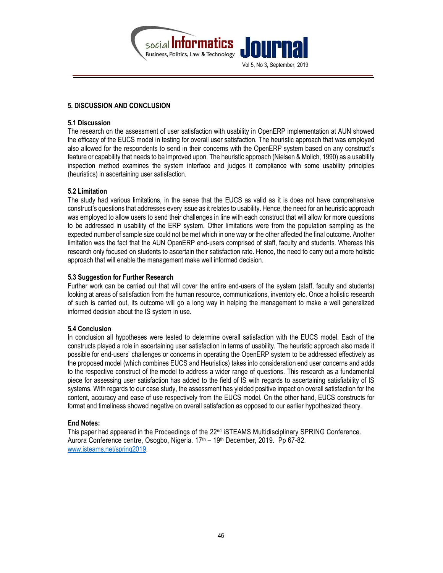

# 5. DISCUSSION AND CONCLUSION

#### 5.1 Discussion

The research on the assessment of user satisfaction with usability in OpenERP implementation at AUN showed the efficacy of the EUCS model in testing for overall user satisfaction. The heuristic approach that was employed also allowed for the respondents to send in their concerns with the OpenERP system based on any construct's feature or capability that needs to be improved upon. The heuristic approach (Nielsen & Molich, 1990) as a usability inspection method examines the system interface and judges it compliance with some usability principles (heuristics) in ascertaining user satisfaction.

### 5.2 Limitation

The study had various limitations, in the sense that the EUCS as valid as it is does not have comprehensive construct's questions that addresses every issue as it relates to usability. Hence, the need for an heuristic approach was employed to allow users to send their challenges in line with each construct that will allow for more questions to be addressed in usability of the ERP system. Other limitations were from the population sampling as the expected number of sample size could not be met which in one way or the other affected the final outcome. Another limitation was the fact that the AUN OpenERP end-users comprised of staff, faculty and students. Whereas this research only focused on students to ascertain their satisfaction rate. Hence, the need to carry out a more holistic approach that will enable the management make well informed decision.

### 5.3 Suggestion for Further Research

Further work can be carried out that will cover the entire end-users of the system (staff, faculty and students) looking at areas of satisfaction from the human resource, communications, inventory etc. Once a holistic research of such is carried out, its outcome will go a long way in helping the management to make a well generalized informed decision about the IS system in use.

# 5.4 Conclusion

In conclusion all hypotheses were tested to determine overall satisfaction with the EUCS model. Each of the constructs played a role in ascertaining user satisfaction in terms of usability. The heuristic approach also made it possible for end-users' challenges or concerns in operating the OpenERP system to be addressed effectively as the proposed model (which combines EUCS and Heuristics) takes into consideration end user concerns and adds to the respective construct of the model to address a wider range of questions. This research as a fundamental piece for assessing user satisfaction has added to the field of IS with regards to ascertaining satisfiability of IS systems. With regards to our case study, the assessment has yielded positive impact on overall satisfaction for the content, accuracy and ease of use respectively from the EUCS model. On the other hand, EUCS constructs for format and timeliness showed negative on overall satisfaction as opposed to our earlier hypothesized theory.

# End Notes:

This paper had appeared in the Proceedings of the  $22<sup>nd</sup>$  iSTEAMS Multidisciplinary SPRING Conference. Aurora Conference centre, Osogbo, Nigeria. 17th – 19th December, 2019. Pp 67-82. www.isteams.net/spring2019.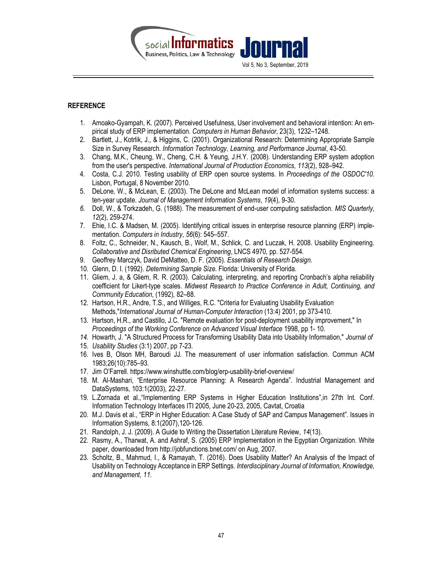

# **REFERENCE**

- 1. Amoako-Gyampah, K. (2007). Perceived Usefulness, User involvement and behavioral intention: An empirical study of ERP implementation. Computers in Human Behavior, 23(3), 1232–1248.
- 2. Bartlett, J., Kotrlik, J., & Higgins, C. (2001). Organizational Research: Determining Appropriate Sample Size in Survey Research. Information Technology, Learning, and Performance Journal, 43-50.
- 3. Chang, M.K., Cheung, W., Cheng, C.H. & Yeung, J.H.Y. (2008). Understanding ERP system adoption from the user's perspective. International Journal of Production Economics, 113(2), 928–942.
- 4. Costa, C.J. 2010. Testing usability of ERP open source systems. In Proceedings of the OSDOC'10. Lisbon, Portugal, 8 November 2010.
- 5. DeLone, W., & McLean, E. (2003). The DeLone and McLean model of information systems success: a ten-year update. Journal of Management Information Systems, 19(4), 9-30.
- 6. Doll, W., & Torkzadeh, G. (1988). The measurement of end-user computing satisfaction. MIS Quarterly, 12(2), 259-274.
- 7. Ehie, I.C. & Madsen, M. (2005). Identifying critical issues in enterprise resource planning (ERP) implementation. Computers in Industry, 56(6): 545–557.
- 8. Foltz, C., Schneider, N., Kausch, B., Wolf, M., Schlick, C. and Luczak, H. 2008. Usability Engineering. Collaborative and Disributed Chemical Engineering, LNCS 4970, pp. 527-554.
- 9. Geoffrey Marczyk, David DeMatteo, D. F. (2005). Essentials of Research Design.
- 10. Glenn, D. I. (1992). Determining Sample Size. Florida: University of Florida.
- 11. Gliem, J. a, & Gliem, R. R. (2003). Calculating, interpreting, and reporting Cronbach's alpha reliability coefficient for Likert-type scales. Midwest Research to Practice Conference in Adult, Continuing, and Community Education, (1992), 82–88.
- 12. Hartson, H.R., Andre, T.S., and Williges, R.C. "Criteria for Evaluating Usability Evaluation Methods,"International Journal of Human-Computer Interaction (13:4) 2001, pp 373-410.
- 13. Hartson, H.R., and Castillo, J.C. "Remote evaluation for post-deployment usability improvement," In Proceedings of the Working Conference on Advanced Visual Interface 1998, pp 1- 10.
- 14. Howarth, J. "A Structured Process for Transforming Usability Data into Usability Information," Journal of
- 15. Usability Studies (3:1) 2007, pp 7-23.
- 16. Ives B, Olson MH, Baroudi JJ. The measurement of user information satisfaction. Commun ACM 1983;26(10):785–93.
- 17. Jim O'Farrell. https://www.winshuttle.com/blog/erp-usability-brief-overview/
- 18. M. Al-Mashari, "Enterprise Resource Planning: A Research Agenda". Industrial Management and DataSystems, 103:1(2003), 22-27.
- 19. L.Zornada et al.,"Implementing ERP Systems in Higher Education Institutions",in 27th Int. Conf. Information Technology Interfaces ITI 2005, June 20-23, 2005, Cavtat, Croatia
- 20. M.J. Davis et al., "ERP in Higher Education: A Case Study of SAP and Campus Management". Issues in Information Systems, 8:1(2007),120-126.
- 21. Randolph, J. J. (2009). A Guide to Writing the Dissertation Literature Review, 14(13).
- 22. Rasmy, A., Tharwat, A. and Ashraf, S. (2005) ERP Implementation in the Egyptian Organization. White paper, downloaded from http://jobfunctions.bnet.com/ on Aug, 2007.
- 23. Scholtz, B., Mahmud, I., & Ramayah, T. (2016). Does Usability Matter? An Analysis of the Impact of Usability on Technology Acceptance in ERP Settings. Interdisciplinary Journal of Information, Knowledge, and Management, 11.